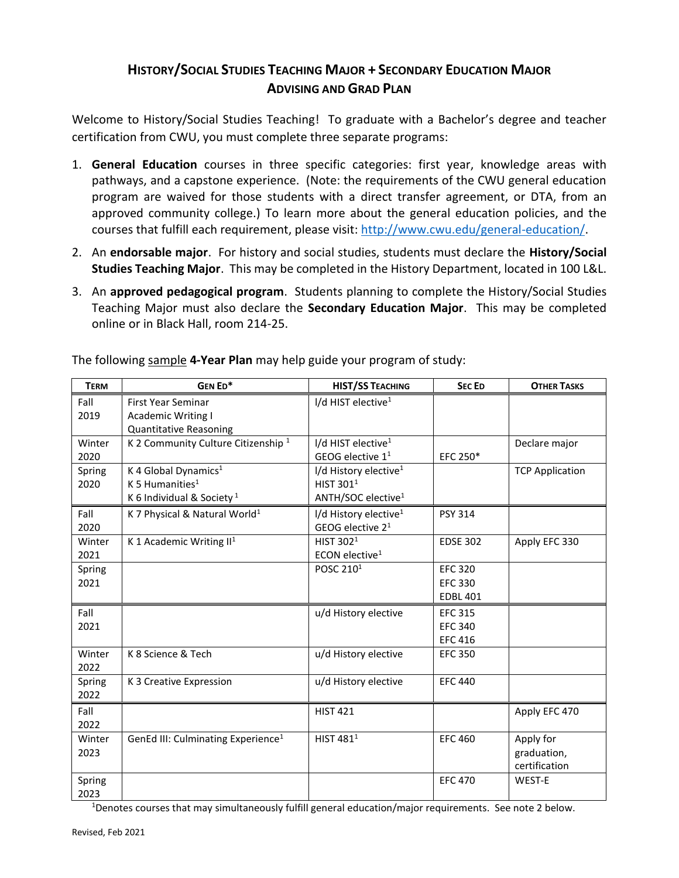## **HISTORY/SOCIAL STUDIES TEACHING MAJOR + SECONDARY EDUCATION MAJOR ADVISING AND GRAD PLAN**

Welcome to History/Social Studies Teaching! To graduate with a Bachelor's degree and teacher certification from CWU, you must complete three separate programs:

- 1. **General Education** courses in three specific categories: first year, knowledge areas with pathways, and a capstone experience. (Note: the requirements of the CWU general education program are waived for those students with a direct transfer agreement, or DTA, from an approved community college.) To learn more about the general education policies, and the courses that fulfill each requirement, please visit: [http://www.cwu.edu/general-education/.](http://www.cwu.edu/general-education/)
- 2. An **endorsable major**. For history and social studies, students must declare the **History/Social Studies Teaching Major**. This may be completed in the History Department, located in 100 L&L.
- 3. An **approved pedagogical program**. Students planning to complete the History/Social Studies Teaching Major must also declare the **Secondary Education Major**. This may be completed online or in Black Hall, room 214-25.

| <b>TERM</b> | GEN ED*                                        | <b>HIST/SS TEACHING</b>           | <b>SECED</b>    | <b>OTHER TASKS</b>     |
|-------------|------------------------------------------------|-----------------------------------|-----------------|------------------------|
| Fall        | <b>First Year Seminar</b>                      | I/d HIST elective <sup>1</sup>    |                 |                        |
| 2019        | <b>Academic Writing I</b>                      |                                   |                 |                        |
|             | <b>Quantitative Reasoning</b>                  |                                   |                 |                        |
| Winter      | K 2 Community Culture Citizenship <sup>1</sup> | I/d HIST elective <sup>1</sup>    |                 | Declare major          |
| 2020        |                                                | GEOG elective $11$                | EFC 250*        |                        |
| Spring      | K 4 Global Dynamics <sup>1</sup>               | I/d History elective <sup>1</sup> |                 | <b>TCP Application</b> |
| 2020        | K 5 Humanities $1$                             | HIST 301 <sup>1</sup>             |                 |                        |
|             | K 6 Individual & Society <sup>1</sup>          | ANTH/SOC elective <sup>1</sup>    |                 |                        |
| Fall        | K 7 Physical & Natural World <sup>1</sup>      | I/d History elective <sup>1</sup> | <b>PSY 314</b>  |                        |
| 2020        |                                                | GEOG elective 2 <sup>1</sup>      |                 |                        |
| Winter      | K 1 Academic Writing $II1$                     | HIST 302 <sup>1</sup>             | <b>EDSE 302</b> | Apply EFC 330          |
| 2021        |                                                | ECON elective <sup>1</sup>        |                 |                        |
| Spring      |                                                | POSC 210 <sup>1</sup>             | <b>EFC 320</b>  |                        |
| 2021        |                                                |                                   | <b>EFC 330</b>  |                        |
|             |                                                |                                   | <b>EDBL 401</b> |                        |
| Fall        |                                                | u/d History elective              | <b>EFC 315</b>  |                        |
| 2021        |                                                |                                   | <b>EFC 340</b>  |                        |
|             |                                                |                                   | <b>EFC 416</b>  |                        |
| Winter      | K 8 Science & Tech                             | u/d History elective              | <b>EFC 350</b>  |                        |
| 2022        |                                                |                                   |                 |                        |
| Spring      | K 3 Creative Expression                        | u/d History elective              | <b>EFC 440</b>  |                        |
| 2022        |                                                |                                   |                 |                        |
| Fall        |                                                | <b>HIST 421</b>                   |                 | Apply EFC 470          |
| 2022        |                                                |                                   |                 |                        |
| Winter      | GenEd III: Culminating Experience <sup>1</sup> | HIST $4811$                       | <b>EFC 460</b>  | Apply for              |
| 2023        |                                                |                                   |                 | graduation,            |
|             |                                                |                                   |                 | certification          |
| Spring      |                                                |                                   | <b>EFC 470</b>  | WEST-E                 |
| 2023        |                                                |                                   |                 |                        |

The following sample **4-Year Plan** may help guide your program of study:

<sup>1</sup>Denotes courses that may simultaneously fulfill general education/major requirements. See note 2 below.